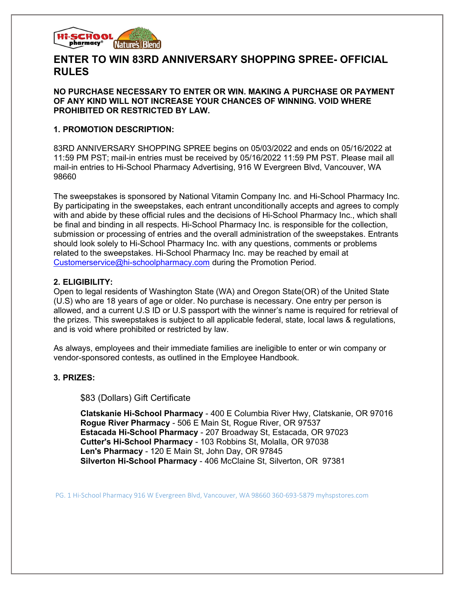

# ENTER TO WIN 83RD ANNIVERSARY SHOPPING SPREE- OFFICIAL RULES

NO PURCHASE NECESSARY TO ENTER OR WIN. MAKING A PURCHASE OR PAYMENT OF ANY KIND WILL NOT INCREASE YOUR CHANCES OF WINNING. VOID WHERE PROHIBITED OR RESTRICTED BY LAW.

#### 1. PROMOTION DESCRIPTION:

83RD ANNIVERSARY SHOPPING SPREE begins on 05/03/2022 and ends on 05/16/2022 at 11:59 PM PST; mail-in entries must be received by 05/16/2022 11:59 PM PST. Please mail all mail-in entries to Hi-School Pharmacy Advertising, 916 W Evergreen Blvd, Vancouver, WA 98660

The sweepstakes is sponsored by National Vitamin Company Inc. and Hi-School Pharmacy Inc. By participating in the sweepstakes, each entrant unconditionally accepts and agrees to comply with and abide by these official rules and the decisions of Hi-School Pharmacy Inc., which shall be final and binding in all respects. Hi-School Pharmacy Inc. is responsible for the collection, submission or processing of entries and the overall administration of the sweepstakes. Entrants should look solely to Hi-School Pharmacy Inc. with any questions, comments or problems related to the sweepstakes. Hi-School Pharmacy Inc. may be reached by email at Customerservice@hi-schoolpharmacy.com during the Promotion Period.

#### 2. ELIGIBILITY:

Open to legal residents of Washington State (WA) and Oregon State(OR) of the United State (U.S) who are 18 years of age or older. No purchase is necessary. One entry per person is allowed, and a current U.S ID or U.S passport with the winner's name is required for retrieval of the prizes. This sweepstakes is subject to all applicable federal, state, local laws & regulations, and is void where prohibited or restricted by law.

As always, employees and their immediate families are ineligible to enter or win company or vendor-sponsored contests, as outlined in the Employee Handbook.

#### 3. PRIZES:

\$83 (Dollars) Gift Certificate

Clatskanie Hi-School Pharmacy - 400 E Columbia River Hwy, Clatskanie, OR 97016 Rogue River Pharmacy - 506 E Main St, Rogue River, OR 97537 Estacada Hi-School Pharmacy - 207 Broadway St, Estacada, OR 97023 Cutter's Hi-School Pharmacy - 103 Robbins St, Molalla, OR 97038 Len's Pharmacy - 120 E Main St, John Day, OR 97845 Silverton Hi-School Pharmacy - 406 McClaine St, Silverton, OR 97381

PG. 1 Hi-School Pharmacy 916 W Evergreen Blvd, Vancouver, WA 98660 360-693-5879 myhspstores.com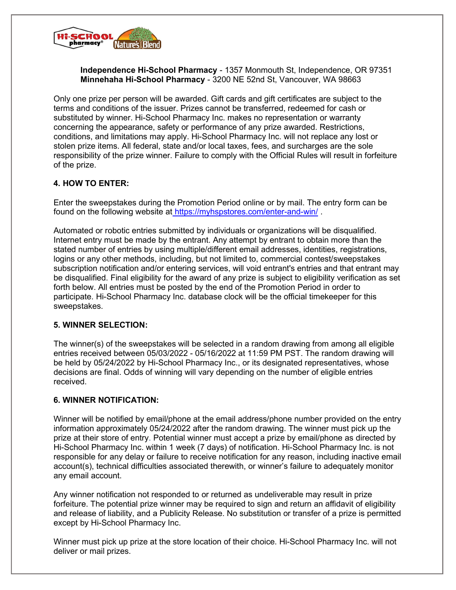

Independence Hi-School Pharmacy - 1357 Monmouth St, Independence, OR 97351 Minnehaha Hi-School Pharmacy - 3200 NE 52nd St, Vancouver, WA 98663

Only one prize per person will be awarded. Gift cards and gift certificates are subject to the terms and conditions of the issuer. Prizes cannot be transferred, redeemed for cash or substituted by winner. Hi-School Pharmacy Inc. makes no representation or warranty concerning the appearance, safety or performance of any prize awarded. Restrictions, conditions, and limitations may apply. Hi-School Pharmacy Inc. will not replace any lost or stolen prize items. All federal, state and/or local taxes, fees, and surcharges are the sole responsibility of the prize winner. Failure to comply with the Official Rules will result in forfeiture of the prize.

## 4. HOW TO ENTER:

Enter the sweepstakes during the Promotion Period online or by mail. The entry form can be found on the following website at https://myhspstores.com/enter-and-win/ .

Automated or robotic entries submitted by individuals or organizations will be disqualified. Internet entry must be made by the entrant. Any attempt by entrant to obtain more than the stated number of entries by using multiple/different email addresses, identities, registrations, logins or any other methods, including, but not limited to, commercial contest/sweepstakes subscription notification and/or entering services, will void entrant's entries and that entrant may be disqualified. Final eligibility for the award of any prize is subject to eligibility verification as set forth below. All entries must be posted by the end of the Promotion Period in order to participate. Hi-School Pharmacy Inc. database clock will be the official timekeeper for this sweepstakes.

#### 5. WINNER SELECTION:

The winner(s) of the sweepstakes will be selected in a random drawing from among all eligible entries received between 05/03/2022 - 05/16/2022 at 11:59 PM PST. The random drawing will be held by 05/24/2022 by Hi-School Pharmacy Inc., or its designated representatives, whose decisions are final. Odds of winning will vary depending on the number of eligible entries received.

#### 6. WINNER NOTIFICATION:

Winner will be notified by email/phone at the email address/phone number provided on the entry information approximately 05/24/2022 after the random drawing. The winner must pick up the prize at their store of entry. Potential winner must accept a prize by email/phone as directed by Hi-School Pharmacy Inc. within 1 week (7 days) of notification. Hi-School Pharmacy Inc. is not responsible for any delay or failure to receive notification for any reason, including inactive email account(s), technical difficulties associated therewith, or winner's failure to adequately monitor any email account.

Any winner notification not responded to or returned as undeliverable may result in prize forfeiture. The potential prize winner may be required to sign and return an affidavit of eligibility and release of liability, and a Publicity Release. No substitution or transfer of a prize is permitted except by Hi-School Pharmacy Inc.

Winner must pick up prize at the store location of their choice. Hi-School Pharmacy Inc. will not deliver or mail prizes.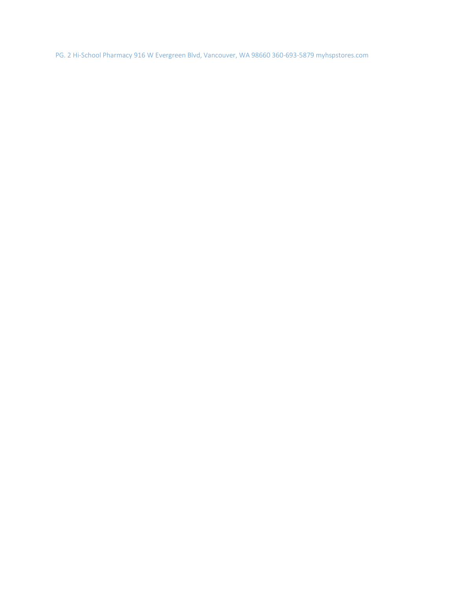PG. 2 Hi-School Pharmacy 916 W Evergreen Blvd, Vancouver, WA 98660 360-693-5879 myhspstores.com